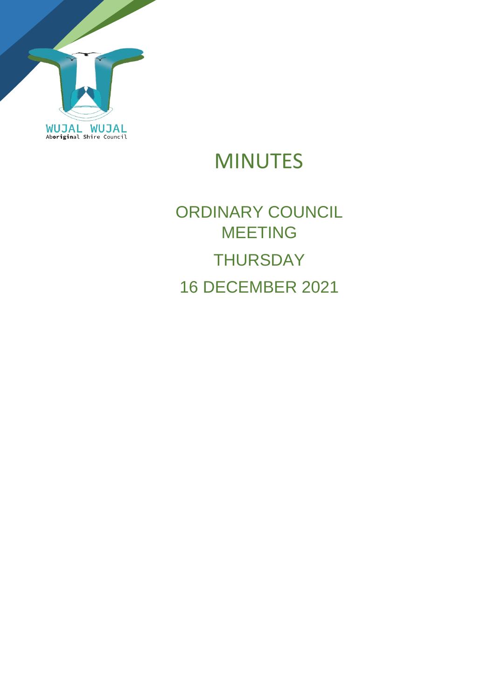

# MINUTES

# ORDINARY COUNCIL MEETING **THURSDAY** 16 DECEMBER 2021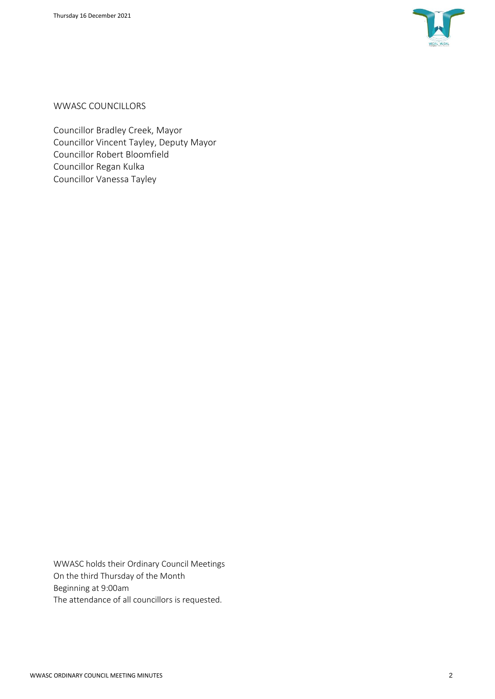

WWASC COUNCILLORS

Councillor Bradley Creek, Mayor Councillor Vincent Tayley, Deputy Mayor Councillor Robert Bloomfield Councillor Regan Kulka Councillor Vanessa Tayley

WWASC holds their Ordinary Council Meetings On the third Thursday of the Month Beginning at 9:00am The attendance of all councillors is requested.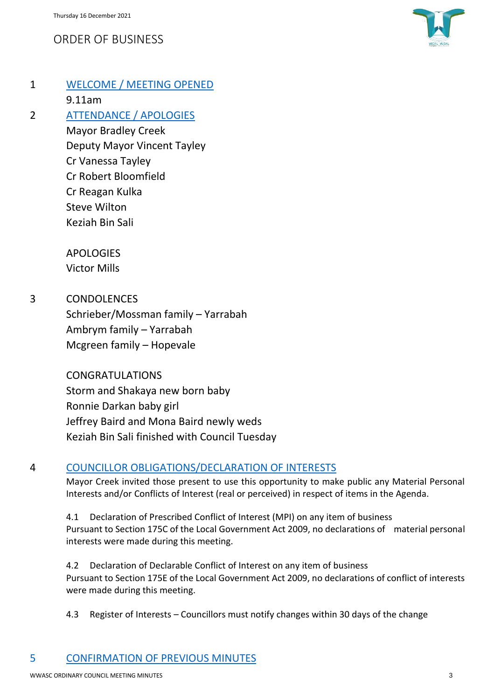## ORDER OF BUSINESS



## 1 WELCOME / MEETING OPENED

9.11am

#### 2 ATTENDANCE / APOLOGIES

Mayor Bradley Creek Deputy Mayor Vincent Tayley Cr Vanessa Tayley Cr Robert Bloomfield Cr Reagan Kulka Steve Wilton Keziah Bin Sali

APOLOGIES Victor Mills

3 CONDOLENCES Schrieber/Mossman family – Yarrabah Ambrym family – Yarrabah Mcgreen family – Hopevale

> CONGRATULATIONS Storm and Shakaya new born baby Ronnie Darkan baby girl Jeffrey Baird and Mona Baird newly weds Keziah Bin Sali finished with Council Tuesday

## 4 COUNCILLOR OBLIGATIONS/DECLARATION OF INTERESTS

Mayor Creek invited those present to use this opportunity to make public any Material Personal Interests and/or Conflicts of Interest (real or perceived) in respect of items in the Agenda.

4.1 Declaration of Prescribed Conflict of Interest (MPI) on any item of business Pursuant to Section 175C of the Local Government Act 2009, no declarations of material personal interests were made during this meeting.

4.2 Declaration of Declarable Conflict of Interest on any item of business Pursuant to Section 175E of the Local Government Act 2009, no declarations of conflict of interests were made during this meeting.

4.3 Register of Interests – Councillors must notify changes within 30 days of the change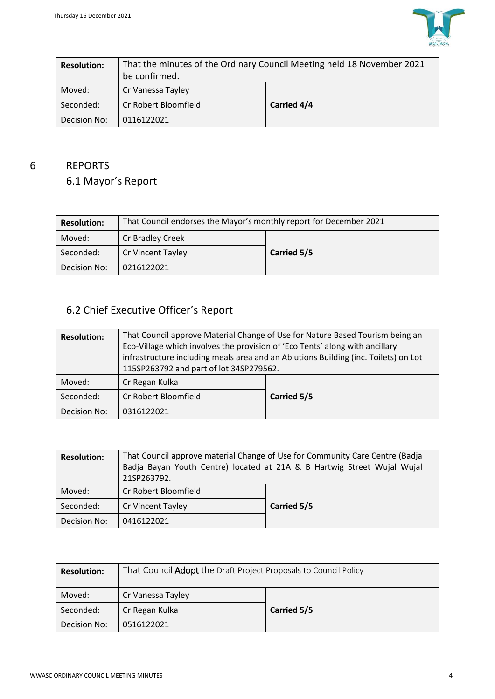

| <b>Resolution:</b> | That the minutes of the Ordinary Council Meeting held 18 November 2021<br>be confirmed. |             |  |
|--------------------|-----------------------------------------------------------------------------------------|-------------|--|
| Moved:             | Cr Vanessa Tayley                                                                       |             |  |
| Seconded:          | Cr Robert Bloomfield                                                                    | Carried 4/4 |  |
| Decision No:       | 0116122021                                                                              |             |  |

## 6 REPORTS

## 6.1 Mayor's Report

| <b>Resolution:</b> | That Council endorses the Mayor's monthly report for December 2021 |             |  |
|--------------------|--------------------------------------------------------------------|-------------|--|
| Moved:             | Cr Bradley Creek                                                   |             |  |
| Seconded:          | Cr Vincent Tayley                                                  | Carried 5/5 |  |
| Decision No:       | 0216122021                                                         |             |  |

## 6.2 Chief Executive Officer's Report

| <b>Resolution:</b> | That Council approve Material Change of Use for Nature Based Tourism being an<br>Eco-Village which involves the provision of 'Eco Tents' along with ancillary<br>infrastructure including meals area and an Ablutions Building (inc. Toilets) on Lot<br>115SP263792 and part of lot 34SP279562. |             |  |
|--------------------|-------------------------------------------------------------------------------------------------------------------------------------------------------------------------------------------------------------------------------------------------------------------------------------------------|-------------|--|
| Moved:             | Cr Regan Kulka                                                                                                                                                                                                                                                                                  |             |  |
| Seconded:          | Cr Robert Bloomfield                                                                                                                                                                                                                                                                            | Carried 5/5 |  |
| Decision No:       | 0316122021                                                                                                                                                                                                                                                                                      |             |  |

| <b>Resolution:</b> | That Council approve material Change of Use for Community Care Centre (Badja<br>Badja Bayan Youth Centre) located at 21A & B Hartwig Street Wujal Wujal<br>21SP263792. |             |  |
|--------------------|------------------------------------------------------------------------------------------------------------------------------------------------------------------------|-------------|--|
| Moved:             | Cr Robert Bloomfield                                                                                                                                                   |             |  |
| Seconded:          | Cr Vincent Tayley                                                                                                                                                      | Carried 5/5 |  |
| Decision No:       | 0416122021                                                                                                                                                             |             |  |

| <b>Resolution:</b> | That Council <b>Adopt</b> the Draft Project Proposals to Council Policy |             |  |
|--------------------|-------------------------------------------------------------------------|-------------|--|
| Moved:             | Cr Vanessa Tayley                                                       |             |  |
| Seconded:          | Cr Regan Kulka                                                          | Carried 5/5 |  |
| Decision No:       | 0516122021                                                              |             |  |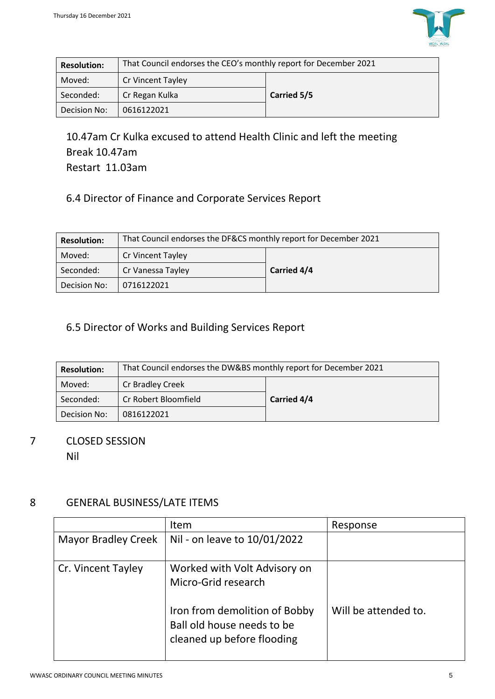

| <b>Resolution:</b> | That Council endorses the CEO's monthly report for December 2021 |             |  |
|--------------------|------------------------------------------------------------------|-------------|--|
| Moved:             | Cr Vincent Tayley                                                |             |  |
| Seconded:          | Cr Regan Kulka                                                   | Carried 5/5 |  |
| Decision No:       | 0616122021                                                       |             |  |

10.47am Cr Kulka excused to attend Health Clinic and left the meeting Break 10.47am Restart 11.03am

## 6.4 Director of Finance and Corporate Services Report

| <b>Resolution:</b> | That Council endorses the DF&CS monthly report for December 2021 |             |  |
|--------------------|------------------------------------------------------------------|-------------|--|
| Moved:             | <b>Cr Vincent Tayley</b>                                         |             |  |
| Seconded:          | Cr Vanessa Tayley                                                | Carried 4/4 |  |
| Decision No:       | 0716122021                                                       |             |  |

## 6.5 Director of Works and Building Services Report

| <b>Resolution:</b> | That Council endorses the DW&BS monthly report for December 2021 |             |  |
|--------------------|------------------------------------------------------------------|-------------|--|
| Moved:             | Cr Bradley Creek                                                 |             |  |
| Seconded:          | Cr Robert Bloomfield                                             | Carried 4/4 |  |
| Decision No:       | 0816122021                                                       |             |  |

## 7 CLOSED SESSION

Nil

## 8 GENERAL BUSINESS/LATE ITEMS

|                            | <b>Item</b>                                                                                                                                      | Response             |
|----------------------------|--------------------------------------------------------------------------------------------------------------------------------------------------|----------------------|
| <b>Mayor Bradley Creek</b> | Nil - on leave to 10/01/2022                                                                                                                     |                      |
| Cr. Vincent Tayley         | Worked with Volt Advisory on<br>Micro-Grid research<br>Iron from demolition of Bobby<br>Ball old house needs to be<br>cleaned up before flooding | Will be attended to. |